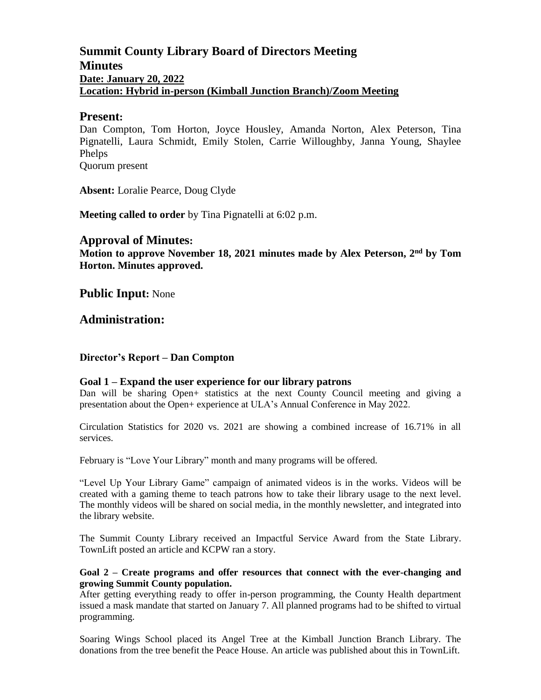# **Summit County Library Board of Directors Meeting Minutes Date: January 20, 2022 Location: Hybrid in-person (Kimball Junction Branch)/Zoom Meeting**

## **Present:**

Dan Compton, Tom Horton, Joyce Housley, Amanda Norton, Alex Peterson, Tina Pignatelli, Laura Schmidt, Emily Stolen, Carrie Willoughby, Janna Young, Shaylee Phelps

Quorum present

**Absent:** Loralie Pearce, Doug Clyde

**Meeting called to order** by Tina Pignatelli at 6:02 p.m.

## **Approval of Minutes:**

Motion to approve November 18, 2021 minutes made by Alex Peterson, 2<sup>nd</sup> by Tom **Horton. Minutes approved.** 

**Public Input:** None

**Administration:**

## **Director's Report – Dan Compton**

#### **Goal 1 – Expand the user experience for our library patrons**

Dan will be sharing Open+ statistics at the next County Council meeting and giving a presentation about the Open+ experience at ULA's Annual Conference in May 2022.

Circulation Statistics for 2020 vs. 2021 are showing a combined increase of 16.71% in all services.

February is "Love Your Library" month and many programs will be offered.

"Level Up Your Library Game" campaign of animated videos is in the works. Videos will be created with a gaming theme to teach patrons how to take their library usage to the next level. The monthly videos will be shared on social media, in the monthly newsletter, and integrated into the library website.

The Summit County Library received an Impactful Service Award from the State Library. TownLift posted an article and KCPW ran a story.

#### **Goal 2 – Create programs and offer resources that connect with the ever-changing and growing Summit County population.**

After getting everything ready to offer in-person programming, the County Health department issued a mask mandate that started on January 7. All planned programs had to be shifted to virtual programming.

Soaring Wings School placed its Angel Tree at the Kimball Junction Branch Library. The donations from the tree benefit the Peace House. An article was published about this in TownLift.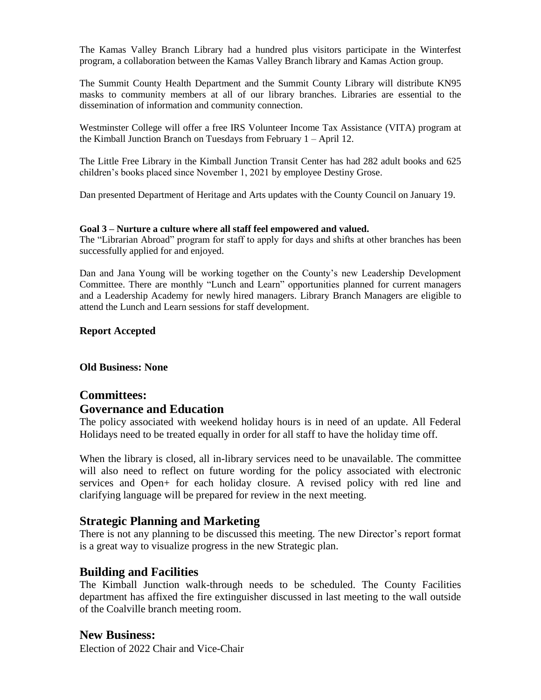The Kamas Valley Branch Library had a hundred plus visitors participate in the Winterfest program, a collaboration between the Kamas Valley Branch library and Kamas Action group.

The Summit County Health Department and the Summit County Library will distribute KN95 masks to community members at all of our library branches. Libraries are essential to the dissemination of information and community connection.

Westminster College will offer a free IRS Volunteer Income Tax Assistance (VITA) program at the Kimball Junction Branch on Tuesdays from February 1 – April 12.

The Little Free Library in the Kimball Junction Transit Center has had 282 adult books and 625 children's books placed since November 1, 2021 by employee Destiny Grose.

Dan presented Department of Heritage and Arts updates with the County Council on January 19.

#### **Goal 3 – Nurture a culture where all staff feel empowered and valued.**

The "Librarian Abroad" program for staff to apply for days and shifts at other branches has been successfully applied for and enjoyed.

Dan and Jana Young will be working together on the County's new Leadership Development Committee. There are monthly "Lunch and Learn" opportunities planned for current managers and a Leadership Academy for newly hired managers. Library Branch Managers are eligible to attend the Lunch and Learn sessions for staff development.

### **Report Accepted**

#### **Old Business: None**

# **Committees:**

## **Governance and Education**

The policy associated with weekend holiday hours is in need of an update. All Federal Holidays need to be treated equally in order for all staff to have the holiday time off.

When the library is closed, all in-library services need to be unavailable. The committee will also need to reflect on future wording for the policy associated with electronic services and Open+ for each holiday closure. A revised policy with red line and clarifying language will be prepared for review in the next meeting.

# **Strategic Planning and Marketing**

There is not any planning to be discussed this meeting. The new Director's report format is a great way to visualize progress in the new Strategic plan.

## **Building and Facilities**

The Kimball Junction walk-through needs to be scheduled. The County Facilities department has affixed the fire extinguisher discussed in last meeting to the wall outside of the Coalville branch meeting room.

## **New Business:**

Election of 2022 Chair and Vice-Chair